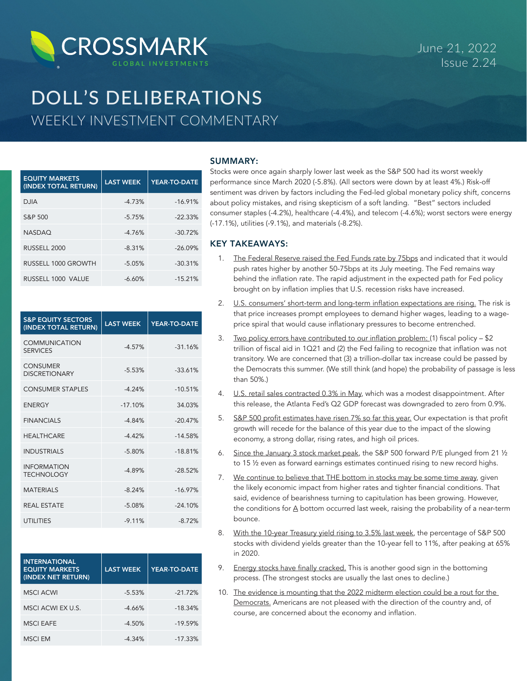

# DOLL'S DELIBERATIONS WEEKLY INVESTMENT COMMENTARY

| <b>EQUITY MARKETS</b><br>(INDEX TOTAL RETURN) | <b>LAST WEEK</b> | <b>YEAR-TO-DATE</b> |
|-----------------------------------------------|------------------|---------------------|
| <b>DJIA</b>                                   | $-4.73%$         | $-16.91%$           |
| S&P 500                                       | $-5.75%$         | $-22.33%$           |
| <b>NASDAO</b>                                 | $-4.76%$         | $-30.72%$           |
| RUSSELL 2000                                  | $-8.31%$         | $-26.09%$           |
| RUSSELL 1000 GROWTH                           | $-5.05%$         | $-30.31%$           |
| RUSSELL 1000 VALUE                            | $-6.60%$         | $-15.21%$           |

| <b>S&amp;P EQUITY SECTORS</b><br>(INDEX TOTAL RETURN) | <b>LAST WEEK</b> | <b>YEAR-TO-DATE</b> |
|-------------------------------------------------------|------------------|---------------------|
| <b>COMMUNICATION</b><br><b>SERVICES</b>               | $-4.57%$         | $-31.16%$           |
| <b>CONSUMER</b><br><b>DISCRETIONARY</b>               | $-5.53%$         | $-33.61%$           |
| <b>CONSUMER STAPLES</b>                               | $-4.24%$         | $-10.51%$           |
| <b>FNFRGY</b>                                         | $-17.10%$        | 34.03%              |
| <b>FINANCIALS</b>                                     | $-4.84%$         | $-20.47%$           |
| <b>HFAITHCARF</b>                                     | $-4.42%$         | $-14.58%$           |
| <b>INDUSTRIALS</b>                                    | $-5.80%$         | $-18.81%$           |
| <b>INFORMATION</b><br><b>TECHNOLOGY</b>               | $-4.89%$         | $-28.52%$           |
| <b>MATERIALS</b>                                      | $-8.24%$         | $-16.97%$           |
| <b>REAL ESTATE</b>                                    | $-5.08\%$        | $-24.10%$           |
| <b>UTILITIES</b>                                      | $-9.11%$         | $-8.72%$            |

| <b>INTERNATIONAL</b><br><b>EQUITY MARKETS</b><br>(INDEX NET RETURN) | <b>LAST WEEK</b> | YEAR-TO-DATE |
|---------------------------------------------------------------------|------------------|--------------|
| <b>MSCI ACWI</b>                                                    | $-5.53%$         | $-21.72%$    |
| MSCI ACWI EX U.S.                                                   | $-4.66%$         | $-18.34%$    |
| <b>MSCI EAFE</b>                                                    | $-4.50%$         | $-19.59%$    |
| <b>MSCI EM</b>                                                      | $-4.34%$         | $-17.33%$    |

# SUMMARY:

Stocks were once again sharply lower last week as the S&P 500 had its worst weekly performance since March 2020 (-5.8%). (All sectors were down by at least 4%.) Risk-off sentiment was driven by factors including the Fed-led global monetary policy shift, concerns about policy mistakes, and rising skepticism of a soft landing. "Best" sectors included consumer staples (-4.2%), healthcare (-4.4%), and telecom (-4.6%); worst sectors were energy (-17.1%), utilities (-9.1%), and materials (-8.2%).

# KEY TAKEAWAYS:

- 1. The Federal Reserve raised the Fed Funds rate by 75bps and indicated that it would push rates higher by another 50-75bps at its July meeting. The Fed remains way behind the inflation rate. The rapid adjustment in the expected path for Fed policy brought on by inflation implies that U.S. recession risks have increased.
- 2. U.S. consumers' short-term and long-term inflation expectations are rising. The risk is that price increases prompt employees to demand higher wages, leading to a wageprice spiral that would cause inflationary pressures to become entrenched.
- 3. Two policy errors have contributed to our inflation problem: (1) fiscal policy \$2 trillion of fiscal aid in 1Q21 and (2) the Fed failing to recognize that inflation was not transitory. We are concerned that (3) a trillion-dollar tax increase could be passed by the Democrats this summer. (We still think (and hope) the probability of passage is less than 50%.)
- 4. U.S. retail sales contracted 0.3% in May, which was a modest disappointment. After this release, the Atlanta Fed's Q2 GDP forecast was downgraded to zero from 0.9%.
- 5. S&P 500 profit estimates have risen 7% so far this year. Our expectation is that profit growth will recede for the balance of this year due to the impact of the slowing economy, a strong dollar, rising rates, and high oil prices.
- 6. Since the January 3 stock market peak, the S&P 500 forward P/E plunged from 21 ½ to 15 ½ even as forward earnings estimates continued rising to new record highs.
- 7. We continue to believe that THE bottom in stocks may be some time away, given the likely economic impact from higher rates and tighter financial conditions. That said, evidence of bearishness turning to capitulation has been growing. However, the conditions for A bottom occurred last week, raising the probability of a near-term bounce.
- 8. With the 10-year Treasury yield rising to 3.5% last week, the percentage of S&P 500 stocks with dividend yields greater than the 10-year fell to 11%, after peaking at 65% in 2020.
- 9. Energy stocks have finally cracked. This is another good sign in the bottoming process. (The strongest stocks are usually the last ones to decline.)
- 10. The evidence is mounting that the 2022 midterm election could be a rout for the Democrats. Americans are not pleased with the direction of the country and, of course, are concerned about the economy and inflation.